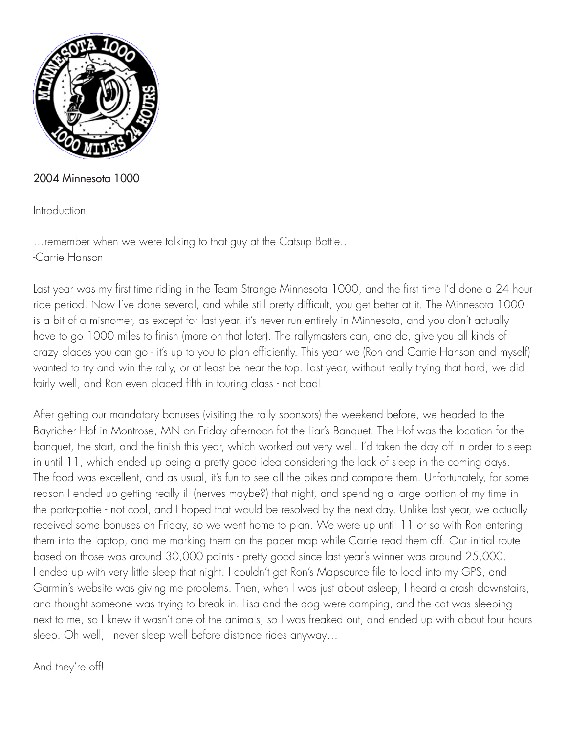

## 2004 Minnesota 1000

Introduction

…remember when we were talking to that guy at the Catsup Bottle… -Carrie Hanson

Last year was my first time riding in the Team Strange Minnesota 1000, and the first time I'd done a 24 hour ride period. Now I've done several, and while still pretty difficult, you get better at it. The Minnesota 1000 is a bit of a misnomer, as except for last year, it's never run entirely in Minnesota, and you don't actually have to go 1000 miles to finish (more on that later). The rallymasters can, and do, give you all kinds of crazy places you can go - it's up to you to plan efficiently. This year we (Ron and Carrie Hanson and myself) wanted to try and win the rally, or at least be near the top. Last year, without really trying that hard, we did fairly well, and Ron even placed fifth in touring class - not bad!

After getting our mandatory bonuses (visiting the rally sponsors) the weekend before, we headed to the Bayricher Hof in Montrose, MN on Friday afternoon fot the Liar's Banquet. The Hof was the location for the banquet, the start, and the finish this year, which worked out very well. I'd taken the day off in order to sleep in until 11, which ended up being a pretty good idea considering the lack of sleep in the coming days. The food was excellent, and as usual, it's fun to see all the bikes and compare them. Unfortunately, for some reason I ended up getting really ill (nerves maybe?) that night, and spending a large portion of my time in the porta-pottie - not cool, and I hoped that would be resolved by the next day. Unlike last year, we actually received some bonuses on Friday, so we went home to plan. We were up until 11 or so with Ron entering them into the laptop, and me marking them on the paper map while Carrie read them off. Our initial route based on those was around 30,000 points - pretty good since last year's winner was around 25,000. I ended up with very little sleep that night. I couldn't get Ron's Mapsource file to load into my GPS, and Garmin's website was giving me problems. Then, when I was just about asleep, I heard a crash downstairs, and thought someone was trying to break in. Lisa and the dog were camping, and the cat was sleeping next to me, so I knew it wasn't one of the animals, so I was freaked out, and ended up with about four hours sleep. Oh well, I never sleep well before distance rides anyway…

And they're off!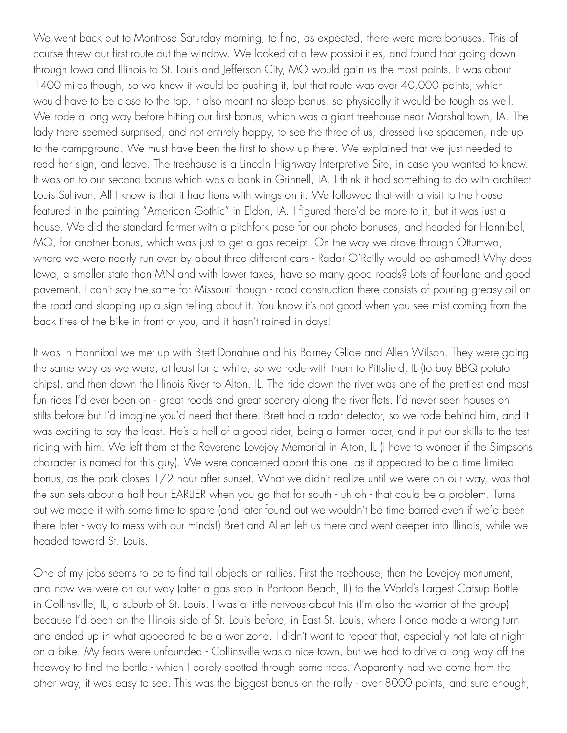We went back out to Montrose Saturday morning, to find, as expected, there were more bonuses. This of course threw our first route out the window. We looked at a few possibilities, and found that going down through Iowa and Illinois to St. Louis and Jefferson City, MO would gain us the most points. It was about 1400 miles though, so we knew it would be pushing it, but that route was over 40,000 points, which would have to be close to the top. It also meant no sleep bonus, so physically it would be tough as well. We rode a long way before hitting our first bonus, which was a giant treehouse near Marshalltown, IA. The lady there seemed surprised, and not entirely happy, to see the three of us, dressed like spacemen, ride up to the campground. We must have been the first to show up there. We explained that we just needed to read her sign, and leave. The treehouse is a Lincoln Highway Interpretive Site, in case you wanted to know. It was on to our second bonus which was a bank in Grinnell, IA. I think it had something to do with architect Louis Sullivan. All I know is that it had lions with wings on it. We followed that with a visit to the house featured in the painting "American Gothic" in Eldon, IA. I figured there'd be more to it, but it was just a house. We did the standard farmer with a pitchfork pose for our photo bonuses, and headed for Hannibal, MO, for another bonus, which was just to get a gas receipt. On the way we drove through Ottumwa, where we were nearly run over by about three different cars - Radar O'Reilly would be ashamed! Why does Iowa, a smaller state than MN and with lower taxes, have so many good roads? Lots of four-lane and good pavement. I can't say the same for Missouri though - road construction there consists of pouring greasy oil on the road and slapping up a sign telling about it. You know it's not good when you see mist coming from the back tires of the bike in front of you, and it hasn't rained in days!

It was in Hannibal we met up with Brett Donahue and his Barney Glide and Allen Wilson. They were going the same way as we were, at least for a while, so we rode with them to Pittsfield, IL (to buy BBQ potato chips), and then down the Illinois River to Alton, IL. The ride down the river was one of the prettiest and most fun rides I'd ever been on - great roads and great scenery along the river flats. I'd never seen houses on stilts before but I'd imagine you'd need that there. Brett had a radar detector, so we rode behind him, and it was exciting to say the least. He's a hell of a good rider, being a former racer, and it put our skills to the test riding with him. We left them at the Reverend Lovejoy Memorial in Alton, IL (I have to wonder if the Simpsons character is named for this guy). We were concerned about this one, as it appeared to be a time limited bonus, as the park closes 1/2 hour after sunset. What we didn't realize until we were on our way, was that the sun sets about a half hour EARLIER when you go that far south - uh oh - that could be a problem. Turns out we made it with some time to spare (and later found out we wouldn't be time barred even if we'd been there later - way to mess with our minds!) Brett and Allen left us there and went deeper into Illinois, while we headed toward St. Louis.

One of my jobs seems to be to find tall objects on rallies. First the treehouse, then the Lovejoy monument, and now we were on our way (after a gas stop in Pontoon Beach, IL) to the World's Largest Catsup Bottle in Collinsville, IL, a suburb of St. Louis. I was a little nervous about this (I'm also the worrier of the group) because I'd been on the Illinois side of St. Louis before, in East St. Louis, where I once made a wrong turn and ended up in what appeared to be a war zone. I didn't want to repeat that, especially not late at night on a bike. My fears were unfounded - Collinsville was a nice town, but we had to drive a long way off the freeway to find the bottle - which I barely spotted through some trees. Apparently had we come from the other way, it was easy to see. This was the biggest bonus on the rally - over 8000 points, and sure enough,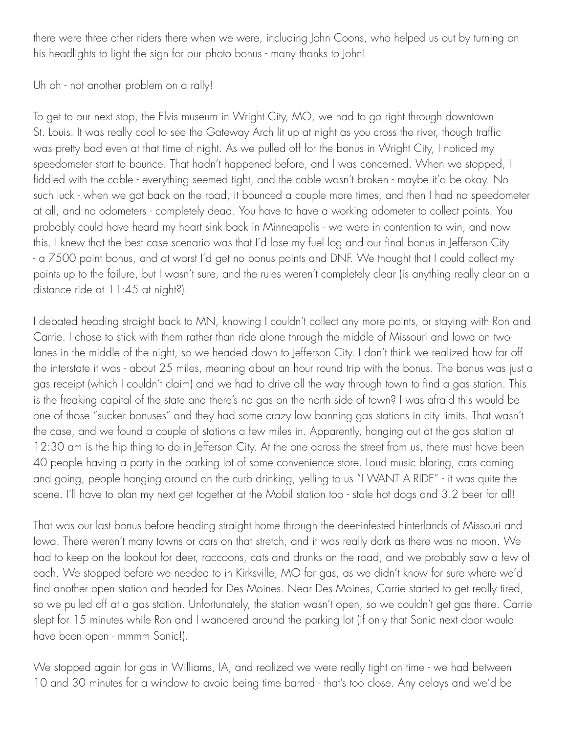there were three other riders there when we were, including John Coons, who helped us out by turning on his headlights to light the sign for our photo bonus - many thanks to John!

Uh oh - not another problem on a rally!

To get to our next stop, the Elvis museum in Wright City, MO, we had to go right through downtown St. Louis. It was really cool to see the Gateway Arch lit up at night as you cross the river, though traffic was pretty bad even at that time of night. As we pulled off for the bonus in Wright City, I noticed my speedometer start to bounce. That hadn't happened before, and I was concerned. When we stopped, I fiddled with the cable - everything seemed tight, and the cable wasn't broken - maybe it'd be okay. No such luck - when we got back on the road, it bounced a couple more times, and then I had no speedometer at all, and no odometers - completely dead. You have to have a working odometer to collect points. You probably could have heard my heart sink back in Minneapolis - we were in contention to win, and now this. I knew that the best case scenario was that I'd lose my fuel log and our final bonus in Jefferson City - a 7500 point bonus, and at worst I'd get no bonus points and DNF. We thought that I could collect my points up to the failure, but I wasn't sure, and the rules weren't completely clear (is anything really clear on a distance ride at 11:45 at night?).

I debated heading straight back to MN, knowing I couldn't collect any more points, or staying with Ron and Carrie. I chose to stick with them rather than ride alone through the middle of Missouri and Iowa on twolanes in the middle of the night, so we headed down to Jefferson City. I don't think we realized how far off the interstate it was - about 25 miles, meaning about an hour round trip with the bonus. The bonus was just a gas receipt (which I couldn't claim) and we had to drive all the way through town to find a gas station. This is the freaking capital of the state and there's no gas on the north side of town? I was afraid this would be one of those "sucker bonuses" and they had some crazy law banning gas stations in city limits. That wasn't the case, and we found a couple of stations a few miles in. Apparently, hanging out at the gas station at 12:30 am is the hip thing to do in Jefferson City. At the one across the street from us, there must have been 40 people having a party in the parking lot of some convenience store. Loud music blaring, cars coming and going, people hanging around on the curb drinking, yelling to us "I WANT A RIDE" - it was quite the scene. I'll have to plan my next get together at the Mobil station too - stale hot dogs and 3.2 beer for all!

That was our last bonus before heading straight home through the deer-infested hinterlands of Missouri and Iowa. There weren't many towns or cars on that stretch, and it was really dark as there was no moon. We had to keep on the lookout for deer, raccoons, cats and drunks on the road, and we probably saw a few of each. We stopped before we needed to in Kirksville, MO for gas, as we didn't know for sure where we'd find another open station and headed for Des Moines. Near Des Moines, Carrie started to get really tired, so we pulled off at a gas station. Unfortunately, the station wasn't open, so we couldn't get gas there. Carrie slept for 15 minutes while Ron and I wandered around the parking lot (if only that Sonic next door would have been open - mmmm Sonic!).

We stopped again for gas in Williams, IA, and realized we were really tight on time - we had between 10 and 30 minutes for a window to avoid being time barred - that's too close. Any delays and we'd be